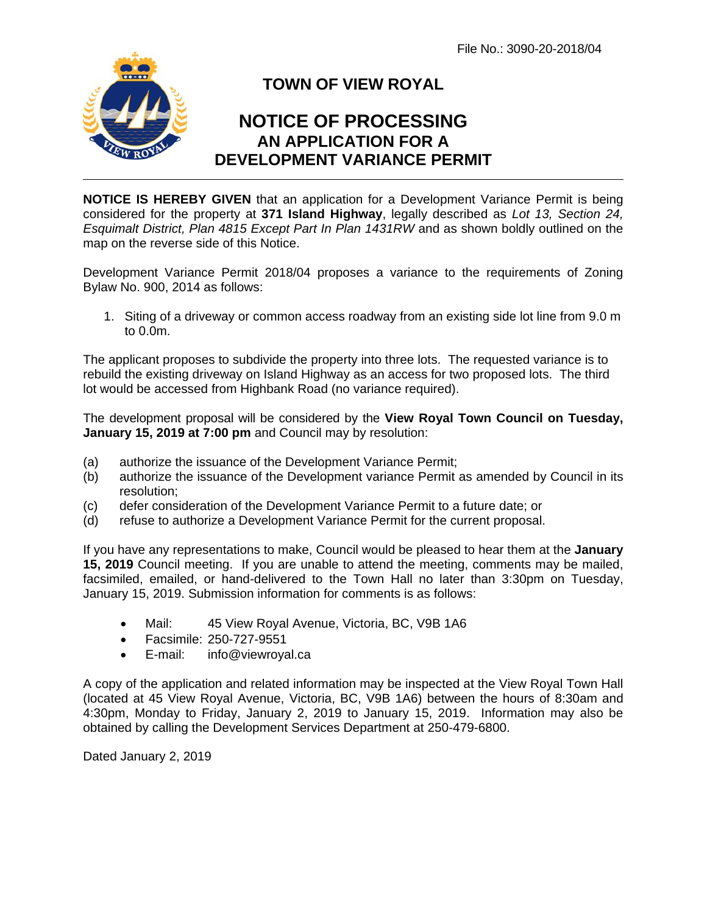File No.: 3090-20-2018/04



## **TOWN OF VIEW ROYAL**

## **NOTICE OF PROCESSING AN APPLICATION FOR A DEVELOPMENT VARIANCE PERMIT**

**NOTICE IS HEREBY GIVEN** that an application for a Development Variance Permit is being considered for the property at **371 Island Highway**, legally described as *Lot 13, Section 24, Esquimalt District, Plan 4815 Except Part In Plan 1431RW* and as shown boldly outlined on the map on the reverse side of this Notice.

Development Variance Permit 2018/04 proposes a variance to the requirements of Zoning Bylaw No. 900, 2014 as follows:

1. Siting of a driveway or common access roadway from an existing side lot line from 9.0 m to 0.0m.

The applicant proposes to subdivide the property into three lots. The requested variance is to rebuild the existing driveway on Island Highway as an access for two proposed lots. The third lot would be accessed from Highbank Road (no variance required).

The development proposal will be considered by the **View Royal Town Council on Tuesday, January 15, 2019 at 7:00 pm** and Council may by resolution:

- (a) authorize the issuance of the Development Variance Permit;
- (b) authorize the issuance of the Development variance Permit as amended by Council in its resolution;
- (c) defer consideration of the Development Variance Permit to a future date; or
- (d) refuse to authorize a Development Variance Permit for the current proposal.

If you have any representations to make, Council would be pleased to hear them at the **January 15, 2019** Council meeting. If you are unable to attend the meeting, comments may be mailed, facsimiled, emailed, or hand-delivered to the Town Hall no later than 3:30pm on Tuesday. January 15, 2019. Submission information for comments is as follows:

- Mail: 45 View Royal Avenue, Victoria, BC, V9B 1A6
- Facsimile: 250-727-9551
- E-mail: info@viewroyal.ca

A copy of the application and related information may be inspected at the View Royal Town Hall (located at 45 View Royal Avenue, Victoria, BC, V9B 1A6) between the hours of 8:30am and 4:30pm, Monday to Friday, January 2, 2019 to January 15, 2019. Information may also be obtained by calling the Development Services Department at 250-479-6800.

Dated January 2, 2019